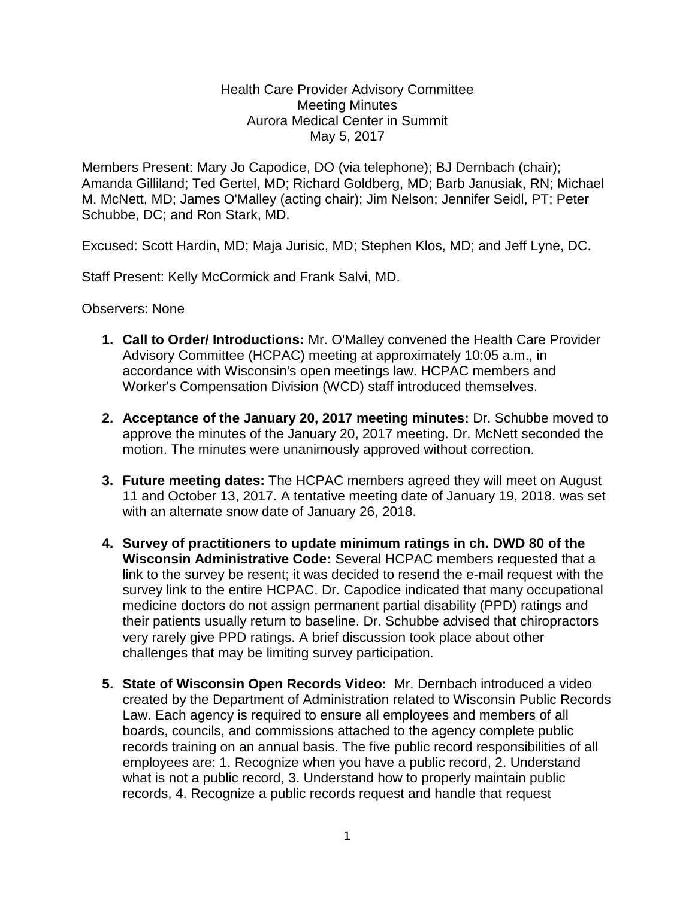## Health Care Provider Advisory Committee Meeting Minutes Aurora Medical Center in Summit May 5, 2017

Members Present: Mary Jo Capodice, DO (via telephone); BJ Dernbach (chair); Amanda Gilliland; Ted Gertel, MD; Richard Goldberg, MD; Barb Janusiak, RN; Michael M. McNett, MD; James O'Malley (acting chair); Jim Nelson; Jennifer Seidl, PT; Peter Schubbe, DC; and Ron Stark, MD.

Excused: Scott Hardin, MD; Maja Jurisic, MD; Stephen Klos, MD; and Jeff Lyne, DC.

Staff Present: Kelly McCormick and Frank Salvi, MD.

Observers: None

- **1. Call to Order/ Introductions:** Mr. O'Malley convened the Health Care Provider Advisory Committee (HCPAC) meeting at approximately 10:05 a.m., in accordance with Wisconsin's open meetings law. HCPAC members and Worker's Compensation Division (WCD) staff introduced themselves.
- **2. Acceptance of the January 20, 2017 meeting minutes:** Dr. Schubbe moved to approve the minutes of the January 20, 2017 meeting. Dr. McNett seconded the motion. The minutes were unanimously approved without correction.
- **3. Future meeting dates:** The HCPAC members agreed they will meet on August 11 and October 13, 2017. A tentative meeting date of January 19, 2018, was set with an alternate snow date of January 26, 2018.
- **4. Survey of practitioners to update minimum ratings in ch. DWD 80 of the Wisconsin Administrative Code:** Several HCPAC members requested that a link to the survey be resent; it was decided to resend the e-mail request with the survey link to the entire HCPAC. Dr. Capodice indicated that many occupational medicine doctors do not assign permanent partial disability (PPD) ratings and their patients usually return to baseline. Dr. Schubbe advised that chiropractors very rarely give PPD ratings. A brief discussion took place about other challenges that may be limiting survey participation.
- **5. State of Wisconsin Open Records Video:** Mr. Dernbach introduced a video created by the Department of Administration related to Wisconsin Public Records Law. Each agency is required to ensure all employees and members of all boards, councils, and commissions attached to the agency complete public records training on an annual basis. The five public record responsibilities of all employees are: 1. Recognize when you have a public record, 2. Understand what is not a public record, 3. Understand how to properly maintain public records, 4. Recognize a public records request and handle that request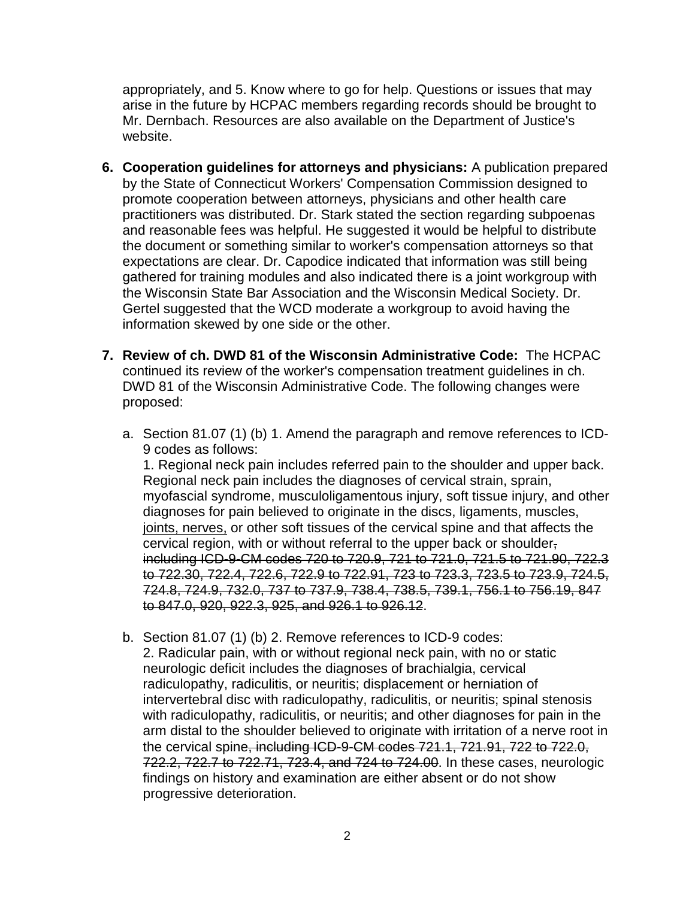appropriately, and 5. Know where to go for help. Questions or issues that may arise in the future by HCPAC members regarding records should be brought to Mr. Dernbach. Resources are also available on the Department of Justice's website.

- **6. Cooperation guidelines for attorneys and physicians:** A publication prepared by the State of Connecticut Workers' Compensation Commission designed to promote cooperation between attorneys, physicians and other health care practitioners was distributed. Dr. Stark stated the section regarding subpoenas and reasonable fees was helpful. He suggested it would be helpful to distribute the document or something similar to worker's compensation attorneys so that expectations are clear. Dr. Capodice indicated that information was still being gathered for training modules and also indicated there is a joint workgroup with the Wisconsin State Bar Association and the Wisconsin Medical Society. Dr. Gertel suggested that the WCD moderate a workgroup to avoid having the information skewed by one side or the other.
- **7. Review of ch. DWD 81 of the Wisconsin Administrative Code:** The HCPAC continued its review of the worker's compensation treatment guidelines in ch. DWD 81 of the Wisconsin Administrative Code. The following changes were proposed:
	- a. Section 81.07 (1) (b) 1. Amend the paragraph and remove references to ICD-9 codes as follows:

1. Regional neck pain includes referred pain to the shoulder and upper back. Regional neck pain includes the diagnoses of cervical strain, sprain, myofascial syndrome, musculoligamentous injury, soft tissue injury, and other diagnoses for pain believed to originate in the discs, ligaments, muscles, joints, nerves, or other soft tissues of the cervical spine and that affects the cervical region, with or without referral to the upper back or shoulder, including ICD-9-CM codes 720 to 720.9, 721 to 721.0, 721.5 to 721.90, 722.3 to 722.30, 722.4, 722.6, 722.9 to 722.91, 723 to 723.3, 723.5 to 723.9, 724.5, 724.8, 724.9, 732.0, 737 to 737.9, 738.4, 738.5, 739.1, 756.1 to 756.19, 847 to 847.0, 920, 922.3, 925, and 926.1 to 926.12.

b. Section 81.07 (1) (b) 2. Remove references to ICD-9 codes: 2. Radicular pain, with or without regional neck pain, with no or static neurologic deficit includes the diagnoses of brachialgia, cervical radiculopathy, radiculitis, or neuritis; displacement or herniation of intervertebral disc with radiculopathy, radiculitis, or neuritis; spinal stenosis with radiculopathy, radiculitis, or neuritis; and other diagnoses for pain in the arm distal to the shoulder believed to originate with irritation of a nerve root in the cervical spine, including ICD-9-CM codes 721.1, 721.91, 722 to 722.0, 722.2, 722.7 to 722.71, 723.4, and 724 to 724.00. In these cases, neurologic findings on history and examination are either absent or do not show progressive deterioration.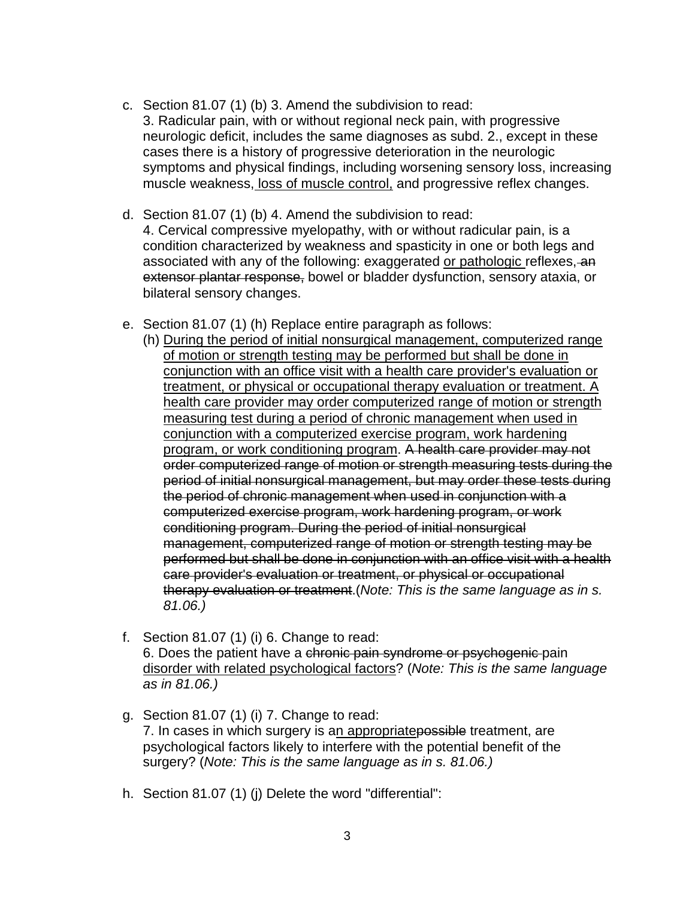- c. Section 81.07 (1) (b) 3. Amend the subdivision to read: 3. Radicular pain, with or without regional neck pain, with progressive neurologic deficit, includes the same diagnoses as subd. 2., except in these cases there is a history of progressive deterioration in the neurologic symptoms and physical findings, including worsening sensory loss, increasing muscle weakness, loss of muscle control, and progressive reflex changes.
- d. Section 81.07 (1) (b) 4. Amend the subdivision to read: 4. Cervical compressive myelopathy, with or without radicular pain, is a condition characterized by weakness and spasticity in one or both legs and associated with any of the following: exaggerated or pathologic reflexes, an extensor plantar response, bowel or bladder dysfunction, sensory ataxia, or bilateral sensory changes.
- e. Section 81.07 (1) (h) Replace entire paragraph as follows:
	- (h) During the period of initial nonsurgical management, computerized range of motion or strength testing may be performed but shall be done in conjunction with an office visit with a health care provider's evaluation or treatment, or physical or occupational therapy evaluation or treatment. A health care provider may order computerized range of motion or strength measuring test during a period of chronic management when used in conjunction with a computerized exercise program, work hardening program, or work conditioning program. A health care provider may not order computerized range of motion or strength measuring tests during the period of initial nonsurgical management, but may order these tests during the period of chronic management when used in conjunction with a computerized exercise program, work hardening program, or work conditioning program. During the period of initial nonsurgical management, computerized range of motion or strength testing may be performed but shall be done in conjunction with an office visit with a health care provider's evaluation or treatment, or physical or occupational therapy evaluation or treatment.(*Note: This is the same language as in s. 81.06.)*
- f. Section  $81.07(1)$  (i) 6. Change to read: 6. Does the patient have a chronic pain syndrome or psychogenic pain disorder with related psychological factors? (*Note: This is the same language as in 81.06.)*
- g. Section 81.07 (1) (i) 7. Change to read: 7. In cases in which surgery is an appropriate possible treatment, are psychological factors likely to interfere with the potential benefit of the surgery? (*Note: This is the same language as in s. 81.06.)*
- h. Section 81.07 (1) (j) Delete the word "differential":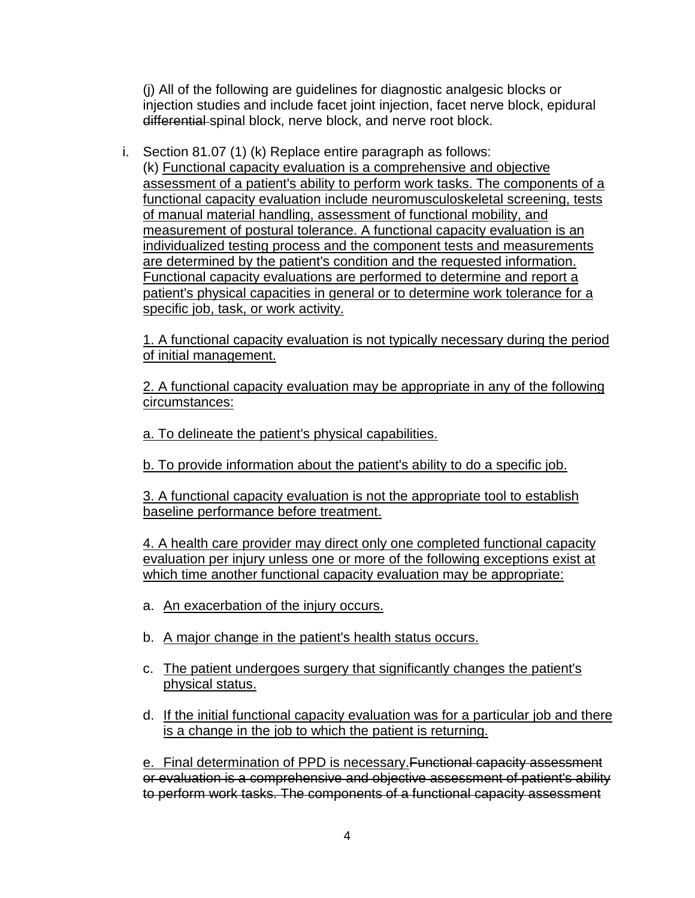(j) All of the following are guidelines for diagnostic analgesic blocks or injection studies and include facet joint injection, facet nerve block, epidural differential spinal block, nerve block, and nerve root block.

i. Section 81.07 (1) (k) Replace entire paragraph as follows: (k) Functional capacity evaluation is a comprehensive and objective assessment of a patient's ability to perform work tasks. The components of a functional capacity evaluation include neuromusculoskeletal screening, tests of manual material handling, assessment of functional mobility, and measurement of postural tolerance. A functional capacity evaluation is an individualized testing process and the component tests and measurements are determined by the patient's condition and the requested information. Functional capacity evaluations are performed to determine and report a patient's physical capacities in general or to determine work tolerance for a specific job, task, or work activity.

1. A functional capacity evaluation is not typically necessary during the period of initial management.

2. A functional capacity evaluation may be appropriate in any of the following circumstances:

a. To delineate the patient's physical capabilities.

b. To provide information about the patient's ability to do a specific job.

3. A functional capacity evaluation is not the appropriate tool to establish baseline performance before treatment.

4. A health care provider may direct only one completed functional capacity evaluation per injury unless one or more of the following exceptions exist at which time another functional capacity evaluation may be appropriate:

- a. An exacerbation of the injury occurs.
- b. A major change in the patient's health status occurs.
- c. The patient undergoes surgery that significantly changes the patient's physical status.
- d. If the initial functional capacity evaluation was for a particular job and there is a change in the job to which the patient is returning.

e. Final determination of PPD is necessary. Functional capacity assessment or evaluation is a comprehensive and objective assessment of patient's ability to perform work tasks. The components of a functional capacity assessment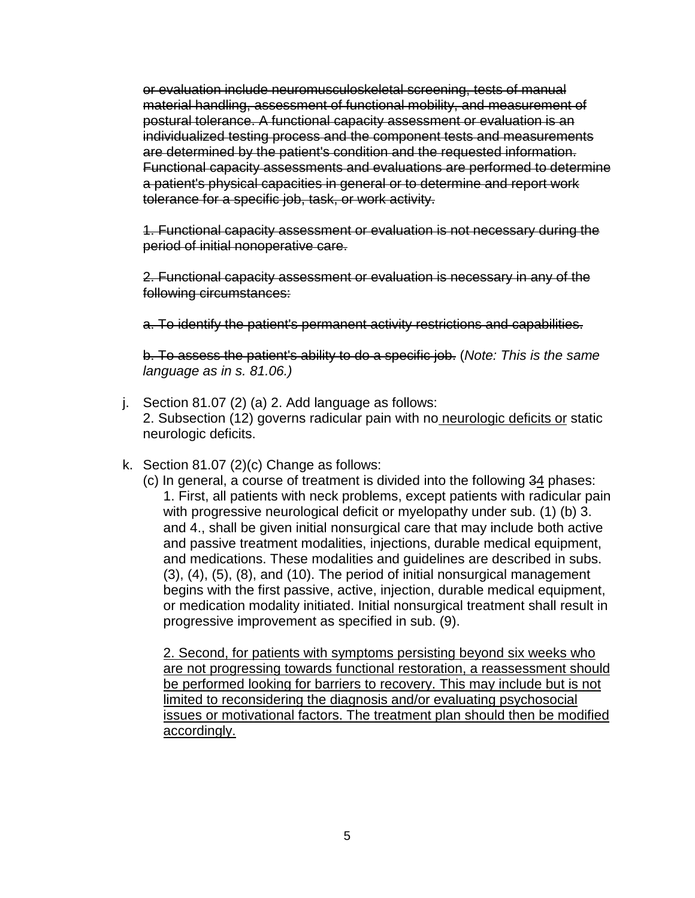or evaluation include neuromusculoskeletal screening, tests of manual material handling, assessment of functional mobility, and measurement of postural tolerance. A functional capacity assessment or evaluation is an individualized testing process and the component tests and measurements are determined by the patient's condition and the requested information. Functional capacity assessments and evaluations are performed to determine a patient's physical capacities in general or to determine and report work tolerance for a specific job, task, or work activity.

1. Functional capacity assessment or evaluation is not necessary during the period of initial nonoperative care.

2. Functional capacity assessment or evaluation is necessary in any of the following circumstances:

a. To identify the patient's permanent activity restrictions and capabilities.

b. To assess the patient's ability to do a specific job. (*Note: This is the same language as in s. 81.06.)*

- j. Section 81.07 (2) (a) 2. Add language as follows: 2. Subsection (12) governs radicular pain with no neurologic deficits or static neurologic deficits.
- k. Section 81.07 (2)(c) Change as follows:
	- (c) In general, a course of treatment is divided into the following 34 phases: 1. First, all patients with neck problems, except patients with radicular pain with progressive neurological deficit or myelopathy under sub. (1) (b) 3. and 4., shall be given initial nonsurgical care that may include both active and passive treatment modalities, injections, durable medical equipment, and medications. These modalities and guidelines are described in subs. (3), (4), (5), (8), and (10). The period of initial nonsurgical management begins with the first passive, active, injection, durable medical equipment, or medication modality initiated. Initial nonsurgical treatment shall result in progressive improvement as specified in sub. (9).

2. Second, for patients with symptoms persisting beyond six weeks who are not progressing towards functional restoration, a reassessment should be performed looking for barriers to recovery. This may include but is not limited to reconsidering the diagnosis and/or evaluating psychosocial issues or motivational factors. The treatment plan should then be modified accordingly.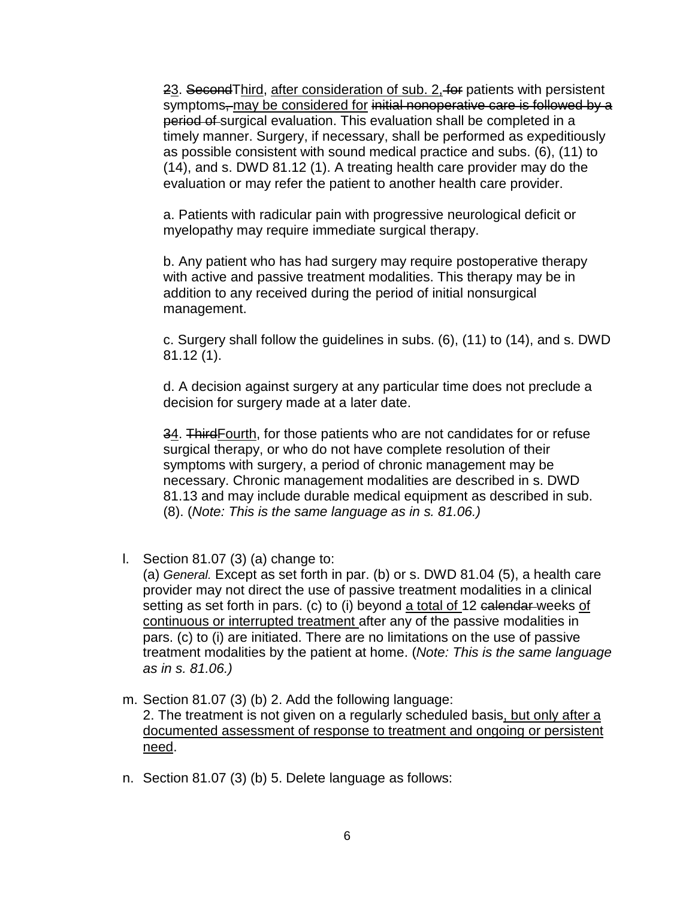23. Second Third, after consideration of sub. 2, for patients with persistent symptoms, may be considered for initial nonoperative care is followed by a period of surgical evaluation. This evaluation shall be completed in a timely manner. Surgery, if necessary, shall be performed as expeditiously as possible consistent with sound medical practice and subs. (6), (11) to (14), and s. DWD 81.12 (1). A treating health care provider may do the evaluation or may refer the patient to another health care provider.

a. Patients with radicular pain with progressive neurological deficit or myelopathy may require immediate surgical therapy.

b. Any patient who has had surgery may require postoperative therapy with active and passive treatment modalities. This therapy may be in addition to any received during the period of initial nonsurgical management.

c. Surgery shall follow the guidelines in subs. (6), (11) to (14), and s. DWD 81.12 (1).

d. A decision against surgery at any particular time does not preclude a decision for surgery made at a later date.

34. ThirdFourth, for those patients who are not candidates for or refuse surgical therapy, or who do not have complete resolution of their symptoms with surgery, a period of chronic management may be necessary. Chronic management modalities are described in s. DWD 81.13 and may include durable medical equipment as described in sub. (8). (*Note: This is the same language as in s. 81.06.)*

l. Section 81.07 (3) (a) change to:

(a) *General.* Except as set forth in par. (b) or s. DWD 81.04 (5), a health care provider may not direct the use of passive treatment modalities in a clinical setting as set forth in pars. (c) to (i) beyond a total of 12 calendar-weeks of continuous or interrupted treatment after any of the passive modalities in pars. (c) to (i) are initiated. There are no limitations on the use of passive treatment modalities by the patient at home. (*Note: This is the same language as in s. 81.06.)*

- m. Section 81.07 (3) (b) 2. Add the following language: 2. The treatment is not given on a regularly scheduled basis, but only after a documented assessment of response to treatment and ongoing or persistent need.
- n. Section 81.07 (3) (b) 5. Delete language as follows: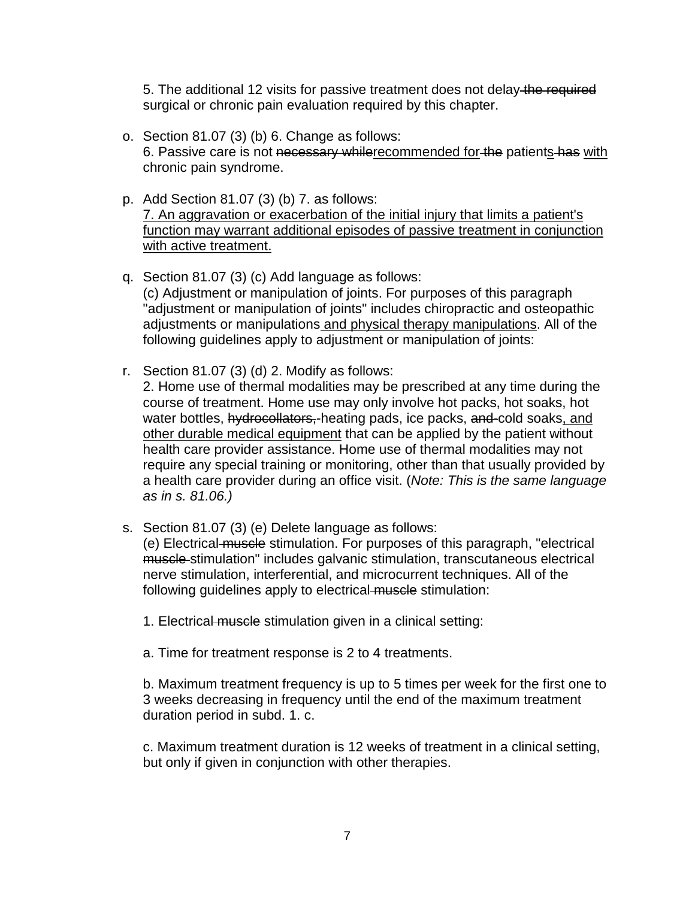5. The additional 12 visits for passive treatment does not delay the required surgical or chronic pain evaluation required by this chapter.

- o. Section 81.07 (3) (b) 6. Change as follows: 6. Passive care is not necessary whilerecommended for the patients has with chronic pain syndrome.
- p. Add Section 81.07 (3) (b) 7. as follows: 7. An aggravation or exacerbation of the initial injury that limits a patient's function may warrant additional episodes of passive treatment in conjunction with active treatment.
- q. Section 81.07 (3) (c) Add language as follows: (c) Adjustment or manipulation of joints. For purposes of this paragraph "adjustment or manipulation of joints" includes chiropractic and osteopathic adjustments or manipulations and physical therapy manipulations. All of the following guidelines apply to adjustment or manipulation of joints:
- r. Section 81.07 (3) (d) 2. Modify as follows: 2. Home use of thermal modalities may be prescribed at any time during the course of treatment. Home use may only involve hot packs, hot soaks, hot water bottles, hydrocollators,-heating pads, ice packs, and-cold soaks, and other durable medical equipment that can be applied by the patient without health care provider assistance. Home use of thermal modalities may not require any special training or monitoring, other than that usually provided by a health care provider during an office visit. (*Note: This is the same language as in s. 81.06.)*
- s. Section 81.07 (3) (e) Delete language as follows:

(e) Electrical muscle stimulation. For purposes of this paragraph, "electrical muscle stimulation" includes galvanic stimulation, transcutaneous electrical nerve stimulation, interferential, and microcurrent techniques. All of the following guidelines apply to electrical muscle stimulation:

- 1. Electrical muscle stimulation given in a clinical setting:
- a. Time for treatment response is 2 to 4 treatments.

b. Maximum treatment frequency is up to 5 times per week for the first one to 3 weeks decreasing in frequency until the end of the maximum treatment duration period in subd. 1. c.

c. Maximum treatment duration is 12 weeks of treatment in a clinical setting, but only if given in conjunction with other therapies.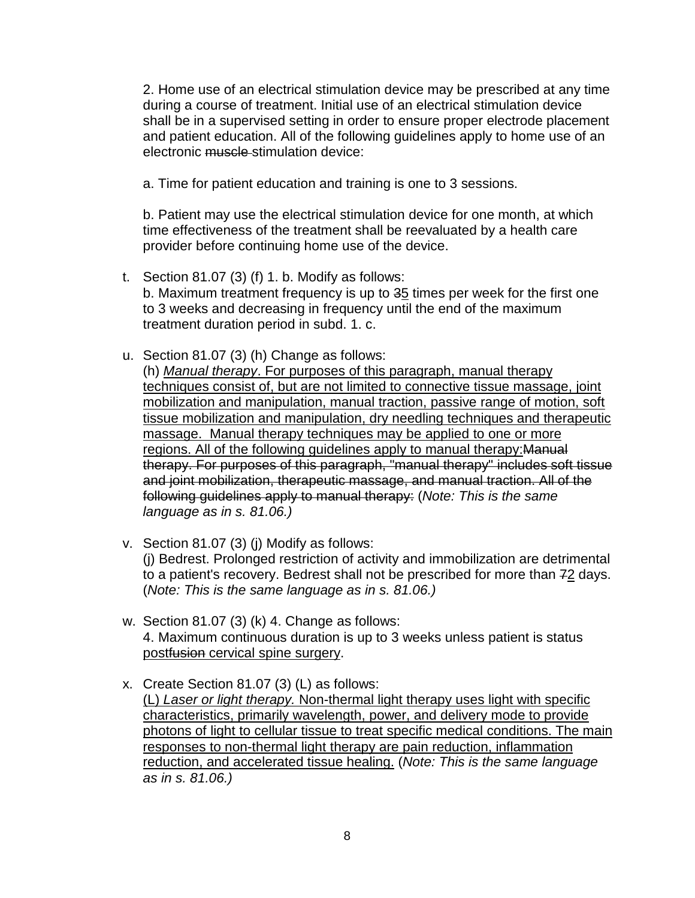2. Home use of an electrical stimulation device may be prescribed at any time during a course of treatment. Initial use of an electrical stimulation device shall be in a supervised setting in order to ensure proper electrode placement and patient education. All of the following guidelines apply to home use of an electronic muscle stimulation device:

a. Time for patient education and training is one to 3 sessions.

b. Patient may use the electrical stimulation device for one month, at which time effectiveness of the treatment shall be reevaluated by a health care provider before continuing home use of the device.

- t. Section 81.07 (3) (f) 1. b. Modify as follows: b. Maximum treatment frequency is up to 35 times per week for the first one to 3 weeks and decreasing in frequency until the end of the maximum treatment duration period in subd. 1. c.
- u. Section 81.07 (3) (h) Change as follows: (h) *Manual therapy*. For purposes of this paragraph, manual therapy techniques consist of, but are not limited to connective tissue massage, joint mobilization and manipulation, manual traction, passive range of motion, soft tissue mobilization and manipulation, dry needling techniques and therapeutic massage. Manual therapy techniques may be applied to one or more regions. All of the following guidelines apply to manual therapy:Manual therapy. For purposes of this paragraph, "manual therapy" includes soft tissue and joint mobilization, therapeutic massage, and manual traction. All of the following guidelines apply to manual therapy: (*Note: This is the same language as in s. 81.06.)*
- v. Section 81.07 (3) (j) Modify as follows: (j) Bedrest. Prolonged restriction of activity and immobilization are detrimental to a patient's recovery. Bedrest shall not be prescribed for more than 72 days. (*Note: This is the same language as in s. 81.06.)*
- w. Section 81.07 (3) (k) 4. Change as follows: 4. Maximum continuous duration is up to 3 weeks unless patient is status postfusion cervical spine surgery.
- x. Create Section 81.07 (3) (L) as follows: (L) *Laser or light therapy.* Non-thermal light therapy uses light with specific characteristics, primarily wavelength, power, and delivery mode to provide photons of light to cellular tissue to treat specific medical conditions. The main responses to non-thermal light therapy are pain reduction, inflammation reduction, and accelerated tissue healing. (*Note: This is the same language as in s. 81.06.)*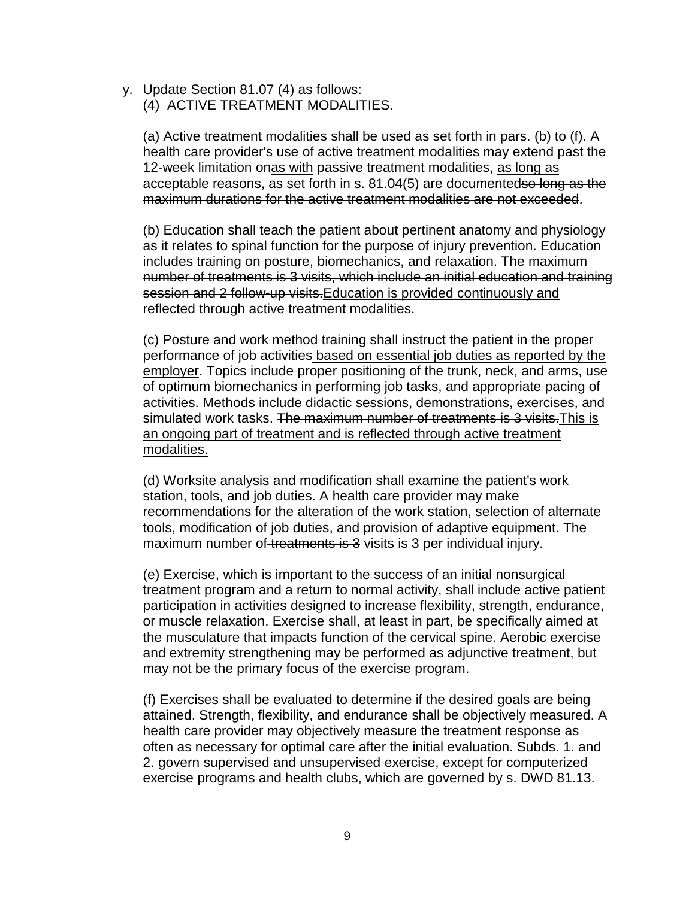y. Update Section 81.07 (4) as follows:

(4) ACTIVE TREATMENT MODALITIES.

(a) Active treatment modalities shall be used as set forth in pars. (b) to (f). A health care provider's use of active treatment modalities may extend past the 12-week limitation onas with passive treatment modalities, as long as acceptable reasons, as set forth in s. 81.04(5) are documentedso long as the maximum durations for the active treatment modalities are not exceeded.

(b) Education shall teach the patient about pertinent anatomy and physiology as it relates to spinal function for the purpose of injury prevention. Education includes training on posture, biomechanics, and relaxation. The maximum number of treatments is 3 visits, which include an initial education and training session and 2 follow-up visits. Education is provided continuously and reflected through active treatment modalities.

(c) Posture and work method training shall instruct the patient in the proper performance of job activities based on essential job duties as reported by the employer. Topics include proper positioning of the trunk, neck, and arms, use of optimum biomechanics in performing job tasks, and appropriate pacing of activities. Methods include didactic sessions, demonstrations, exercises, and simulated work tasks. The maximum number of treatments is 3 visits. This is an ongoing part of treatment and is reflected through active treatment modalities.

(d) Worksite analysis and modification shall examine the patient's work station, tools, and job duties. A health care provider may make recommendations for the alteration of the work station, selection of alternate tools, modification of job duties, and provision of adaptive equipment. The maximum number of treatments is 3 visits is 3 per individual injury.

(e) Exercise, which is important to the success of an initial nonsurgical treatment program and a return to normal activity, shall include active patient participation in activities designed to increase flexibility, strength, endurance, or muscle relaxation. Exercise shall, at least in part, be specifically aimed at the musculature that impacts function of the cervical spine. Aerobic exercise and extremity strengthening may be performed as adjunctive treatment, but may not be the primary focus of the exercise program.

(f) Exercises shall be evaluated to determine if the desired goals are being attained. Strength, flexibility, and endurance shall be objectively measured. A health care provider may objectively measure the treatment response as often as necessary for optimal care after the initial evaluation. Subds. 1. and 2. govern supervised and unsupervised exercise, except for computerized exercise programs and health clubs, which are governed by s. DWD 81.13.